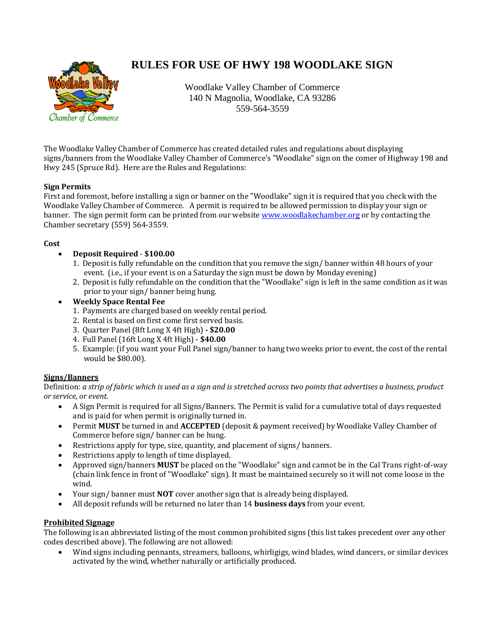

# **RULES FOR USE OF HWY 198 WOODLAKE SIGN**

Woodlake Valley Chamber of Commerce 140 N Magnolia, Woodlake, CA 93286 559-564-3559

The Woodlake Valley Chamber of Commerce has created detailed rules and regulations about displaying signs/banners from the Woodlake Valley Chamber of Commerce's "Woodlake" sign on the comer of Highway 198 and Hwy 245 (Spruce Rd). Here are the Rules and Regulations:

## **Sign Permits**

First and foremost, before installing a sign or banner on the "Woodlake" sign it is required that you check with the Woodlake Valley Chamber of Commerce. A permit is required to be allowed permission to display your sign or banner. The sign permit form can be printed from our websit[e www.woodlakechamber.org](http://www.woodlakechamber.org/) or by contacting the Chamber secretary (559) 564-3559.

## **Cost**

- **Deposit Required \$100.00**
	- 1. Deposit is fully refundable on the condition that you remove the sign/ banner within 48 hours of your event. (i.e., if your event is on a Saturday the sign must be down by Monday evening)
	- 2. Deposit is fully refundable on the condition that the "Woodlake" sign is left in the same condition as it was prior to your sign/ banner being hung.
- **Weekly Space Rental Fee** 
	- 1. Payments are charged based on weekly rental period.
	- 2. Rental is based on first come first served basis.
	- 3. Quarter Panel (8ft Long X 4ft High) **- \$20.00**
	- 4. Full Panel (16ft Long X 4ft High) **\$40.00**
	- 5. Example: (if you want your Full Panel sign/banner to hang two weeks prior to event, the cost of the rental would be \$80.00).

## **Signs/Banners**

Definition: *a strip of fabric which is used as a sign and is stretched across two points that advertises a business, product or service, or event.*

- A Sign Permit is required for all Signs/Banners. The Permit is valid for a cumulative total of days requested and is paid for when permit is originally turned in.
- Permit **MUST** be turned in and **ACCEPTED** (deposit & payment received) by Woodlake Valley Chamber of Commerce before sign/ banner can be hung.
- Restrictions apply for type, size, quantity, and placement of signs/ banners.
- Restrictions apply to length of time displayed.
- Approved sign/banners **MUST** be placed on the "Woodlake" sign and cannot be in the Cal Trans right-of-way (chain link fence in front of "Woodlake" sign). It must be maintained securely so it will not come loose in the wind.
- Your sign/ banner must **NOT** cover another sign that is already being displayed.
- All deposit refunds will be returned no later than 14 **business days** from your event.

## **Prohibited Signage**

The following is an abbreviated listing of the most common prohibited signs (this list takes precedent over any other codes described above). The following are not allowed:

 Wind signs including pennants, streamers, balloons, whirligigs, wind blades, wind dancers, or similar devices activated by the wind, whether naturally or artificially produced.